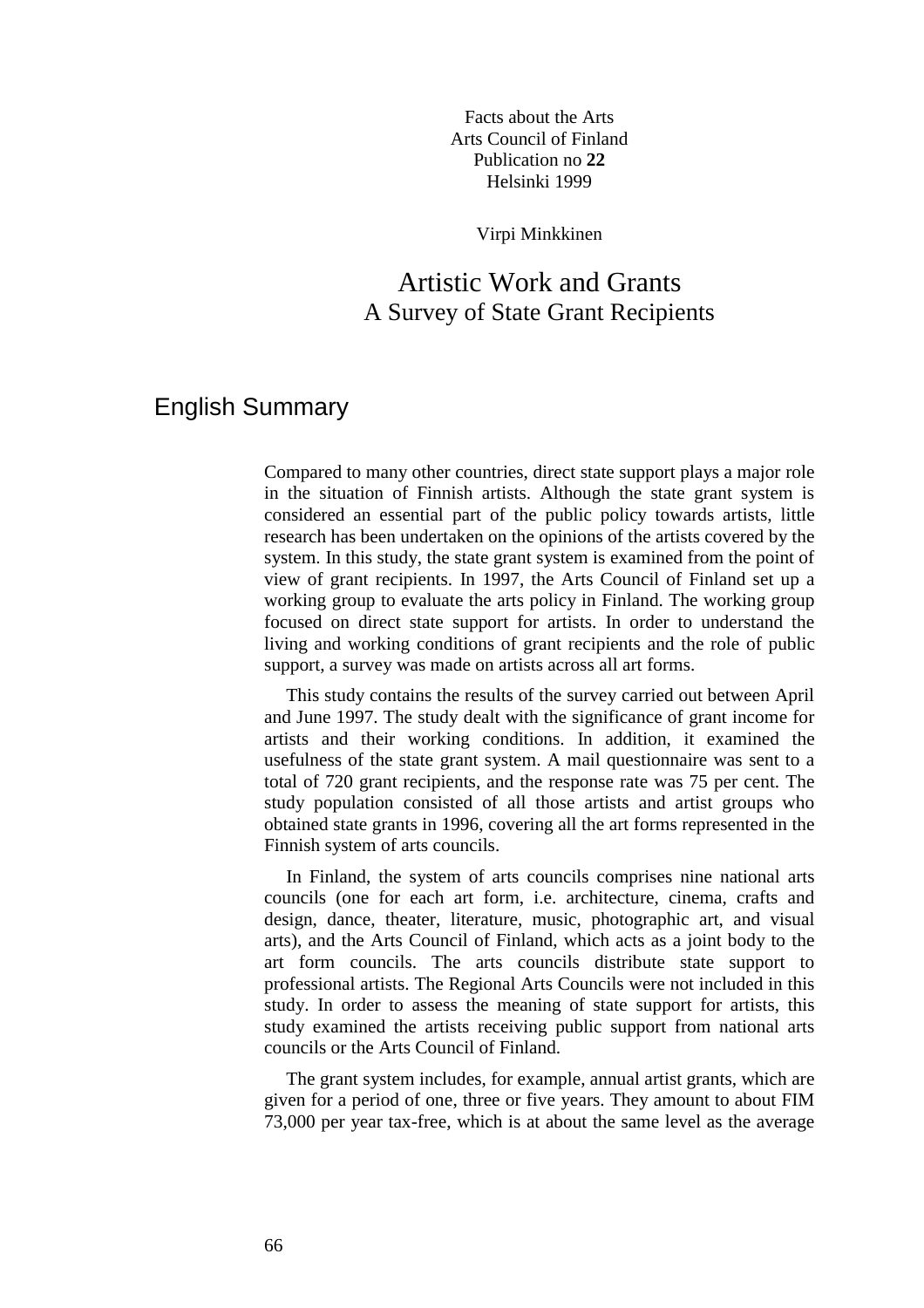Facts about the Arts Arts Council of Finland Publication no **22** Helsinki 1999

Virpi Minkkinen

## Artistic Work and Grants A Survey of State Grant Recipients

## English Summary

Compared to many other countries, direct state support plays a major role in the situation of Finnish artists. Although the state grant system is considered an essential part of the public policy towards artists, little research has been undertaken on the opinions of the artists covered by the system. In this study, the state grant system is examined from the point of view of grant recipients. In 1997, the Arts Council of Finland set up a working group to evaluate the arts policy in Finland. The working group focused on direct state support for artists. In order to understand the living and working conditions of grant recipients and the role of public support, a survey was made on artists across all art forms.

 This study contains the results of the survey carried out between April and June 1997. The study dealt with the significance of grant income for artists and their working conditions. In addition, it examined the usefulness of the state grant system. A mail questionnaire was sent to a total of 720 grant recipients, and the response rate was 75 per cent. The study population consisted of all those artists and artist groups who obtained state grants in 1996, covering all the art forms represented in the Finnish system of arts councils.

 In Finland, the system of arts councils comprises nine national arts councils (one for each art form, i.e. architecture, cinema, crafts and design, dance, theater, literature, music, photographic art, and visual arts), and the Arts Council of Finland, which acts as a joint body to the art form councils. The arts councils distribute state support to professional artists. The Regional Arts Councils were not included in this study. In order to assess the meaning of state support for artists, this study examined the artists receiving public support from national arts councils or the Arts Council of Finland.

 The grant system includes, for example, annual artist grants, which are given for a period of one, three or five years. They amount to about FIM 73,000 per year tax-free, which is at about the same level as the average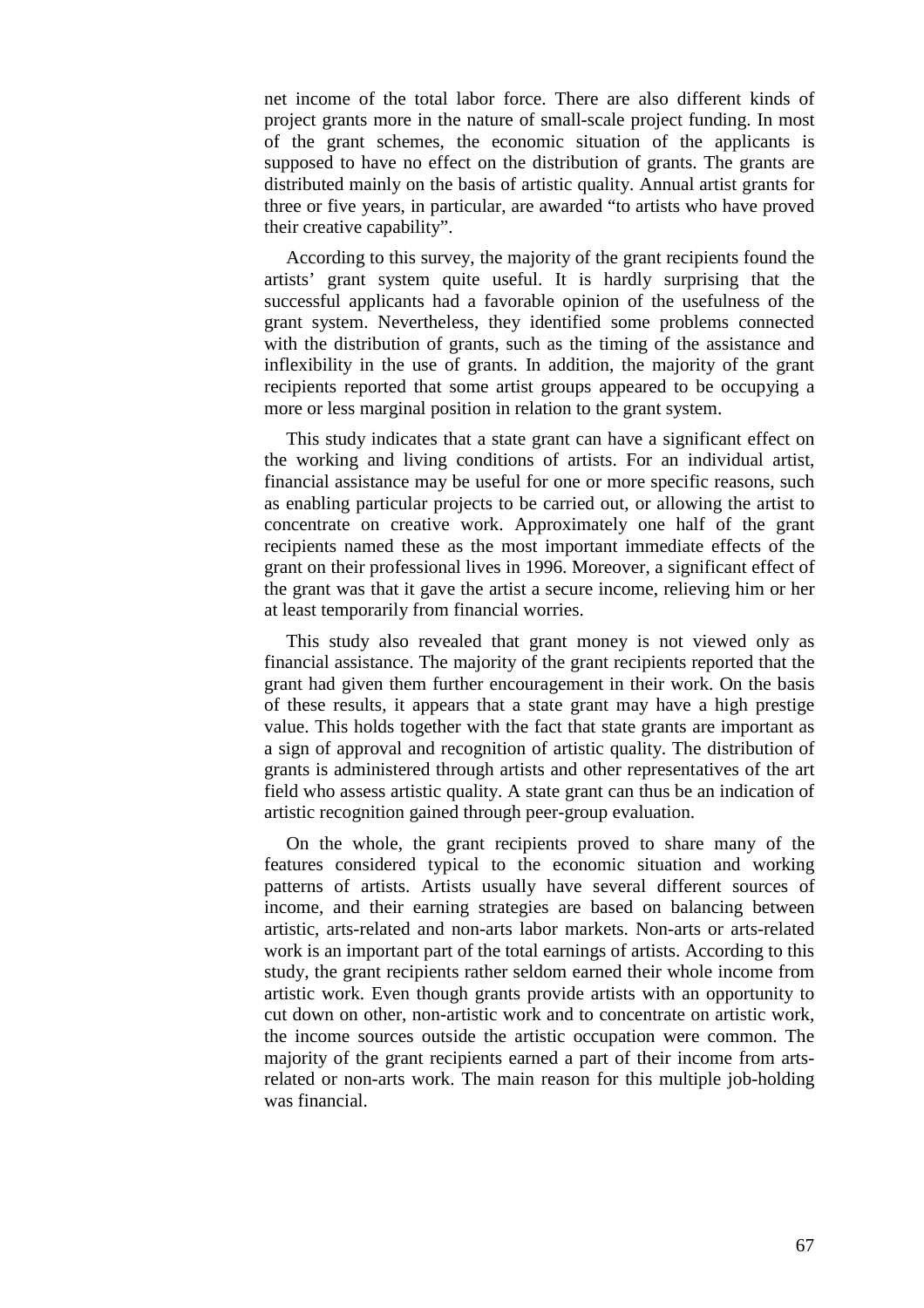net income of the total labor force. There are also different kinds of project grants more in the nature of small-scale project funding. In most of the grant schemes, the economic situation of the applicants is supposed to have no effect on the distribution of grants. The grants are distributed mainly on the basis of artistic quality. Annual artist grants for three or five years, in particular, are awarded "to artists who have proved their creative capability".

 According to this survey, the majority of the grant recipients found the artists' grant system quite useful. It is hardly surprising that the successful applicants had a favorable opinion of the usefulness of the grant system. Nevertheless, they identified some problems connected with the distribution of grants, such as the timing of the assistance and inflexibility in the use of grants. In addition, the majority of the grant recipients reported that some artist groups appeared to be occupying a more or less marginal position in relation to the grant system.

 This study indicates that a state grant can have a significant effect on the working and living conditions of artists. For an individual artist, financial assistance may be useful for one or more specific reasons, such as enabling particular projects to be carried out, or allowing the artist to concentrate on creative work. Approximately one half of the grant recipients named these as the most important immediate effects of the grant on their professional lives in 1996. Moreover, a significant effect of the grant was that it gave the artist a secure income, relieving him or her at least temporarily from financial worries.

 This study also revealed that grant money is not viewed only as financial assistance. The majority of the grant recipients reported that the grant had given them further encouragement in their work. On the basis of these results, it appears that a state grant may have a high prestige value. This holds together with the fact that state grants are important as a sign of approval and recognition of artistic quality. The distribution of grants is administered through artists and other representatives of the art field who assess artistic quality. A state grant can thus be an indication of artistic recognition gained through peer-group evaluation.

 On the whole, the grant recipients proved to share many of the features considered typical to the economic situation and working patterns of artists. Artists usually have several different sources of income, and their earning strategies are based on balancing between artistic, arts-related and non-arts labor markets. Non-arts or arts-related work is an important part of the total earnings of artists. According to this study, the grant recipients rather seldom earned their whole income from artistic work. Even though grants provide artists with an opportunity to cut down on other, non-artistic work and to concentrate on artistic work, the income sources outside the artistic occupation were common. The majority of the grant recipients earned a part of their income from artsrelated or non-arts work. The main reason for this multiple job-holding was financial.